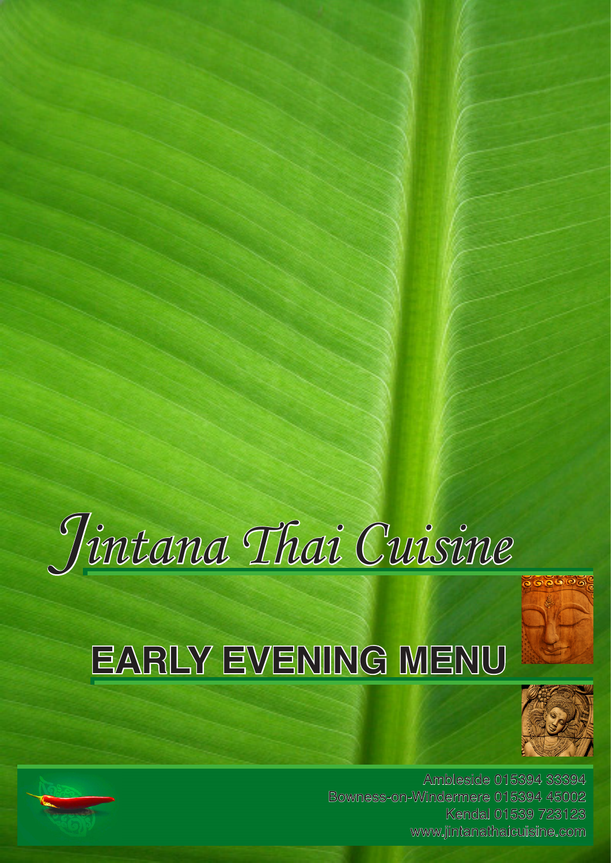

# **EARLY EVENING MENU**



Ambleside 015394 33394 Bowness-on-Windermere 015394 45002 Kendal 01539 723123 www.jintanathaicuisine.com